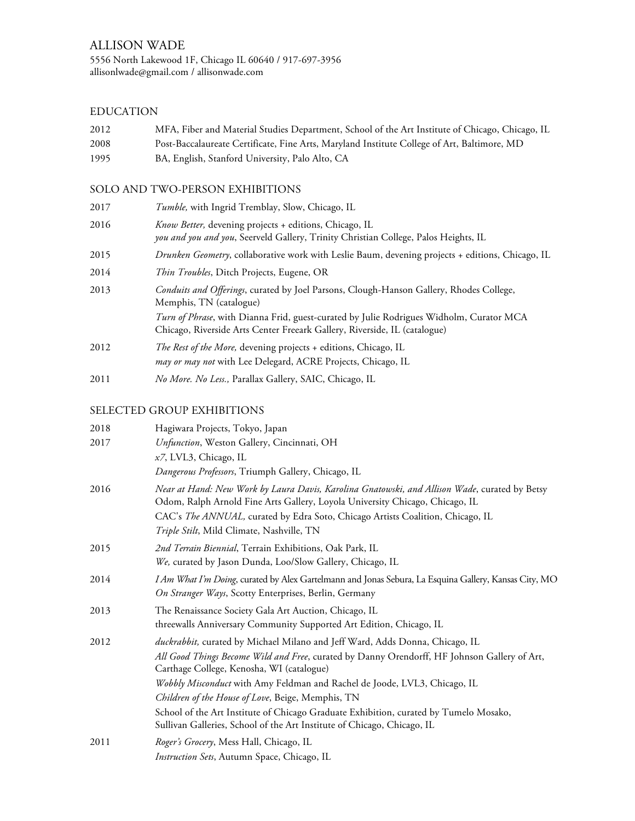## EDUCATION

| 2012 | MFA, Fiber and Material Studies Department, School of the Art Institute of Chicago, Chicago, IL |
|------|-------------------------------------------------------------------------------------------------|
| 2008 | Post-Baccalaureate Certificate, Fine Arts, Maryland Institute College of Art, Baltimore, MD     |
| 1995 | BA, English, Stanford University, Palo Alto, CA                                                 |

# SOLO AND TWO-PERSON EXHIBITIONS

| 2017 | <i>Tumble</i> , with Ingrid Tremblay, Slow, Chicago, IL                                                                                                                      |
|------|------------------------------------------------------------------------------------------------------------------------------------------------------------------------------|
| 2016 | Know Better, devening projects + editions, Chicago, IL<br>you and you and you, Seerveld Gallery, Trinity Christian College, Palos Heights, IL                                |
| 2015 | Drunken Geometry, collaborative work with Leslie Baum, devening projects + editions, Chicago, IL                                                                             |
| 2014 | <i>Thin Troubles</i> , Ditch Projects, Eugene, OR                                                                                                                            |
| 2013 | Conduits and Offerings, curated by Joel Parsons, Clough-Hanson Gallery, Rhodes College,<br>Memphis, TN (catalogue)                                                           |
|      | <i>Turn of Phrase</i> , with Dianna Frid, guest-curated by Julie Rodrigues Widholm, Curator MCA<br>Chicago, Riverside Arts Center Freeark Gallery, Riverside, IL (catalogue) |
| 2012 | The Rest of the More, devening projects + editions, Chicago, IL                                                                                                              |
|      | may or may not with Lee Delegard, ACRE Projects, Chicago, IL                                                                                                                 |
| 2011 | No More. No Less., Parallax Gallery, SAIC, Chicago, IL                                                                                                                       |

# SELECTED GROUP EXHIBITIONS

| 2018 | Hagiwara Projects, Tokyo, Japan                                                                                                                                               |
|------|-------------------------------------------------------------------------------------------------------------------------------------------------------------------------------|
| 2017 | Unfunction, Weston Gallery, Cincinnati, OH                                                                                                                                    |
|      | x7, LVL3, Chicago, IL                                                                                                                                                         |
|      | Dangerous Professors, Triumph Gallery, Chicago, IL                                                                                                                            |
| 2016 | Near at Hand: New Work by Laura Davis, Karolina Gnatowski, and Allison Wade, curated by Betsy<br>Odom, Ralph Arnold Fine Arts Gallery, Loyola University Chicago, Chicago, IL |
|      | CAC's The ANNUAL, curated by Edra Soto, Chicago Artists Coalition, Chicago, IL                                                                                                |
|      | Triple Stilt, Mild Climate, Nashville, TN                                                                                                                                     |
| 2015 | 2nd Terrain Biennial, Terrain Exhibitions, Oak Park, IL                                                                                                                       |
|      | We, curated by Jason Dunda, Loo/Slow Gallery, Chicago, IL                                                                                                                     |
| 2014 | I Am What I'm Doing, curated by Alex Gartelmann and Jonas Sebura, La Esquina Gallery, Kansas City, MO                                                                         |
|      | On Stranger Ways, Scotty Enterprises, Berlin, Germany                                                                                                                         |
| 2013 | The Renaissance Society Gala Art Auction, Chicago, IL                                                                                                                         |
|      | threewalls Anniversary Community Supported Art Edition, Chicago, IL                                                                                                           |
| 2012 | duckrabbit, curated by Michael Milano and Jeff Ward, Adds Donna, Chicago, IL                                                                                                  |
|      | All Good Things Become Wild and Free, curated by Danny Orendorff, HF Johnson Gallery of Art,<br>Carthage College, Kenosha, WI (catalogue)                                     |
|      | Wobbly Misconduct with Amy Feldman and Rachel de Joode, LVL3, Chicago, IL                                                                                                     |
|      | Children of the House of Love, Beige, Memphis, TN                                                                                                                             |
|      | School of the Art Institute of Chicago Graduate Exhibition, curated by Tumelo Mosako,<br>Sullivan Galleries, School of the Art Institute of Chicago, Chicago, IL              |
| 2011 | Roger's Grocery, Mess Hall, Chicago, IL                                                                                                                                       |
|      | Instruction Sets, Autumn Space, Chicago, IL                                                                                                                                   |
|      |                                                                                                                                                                               |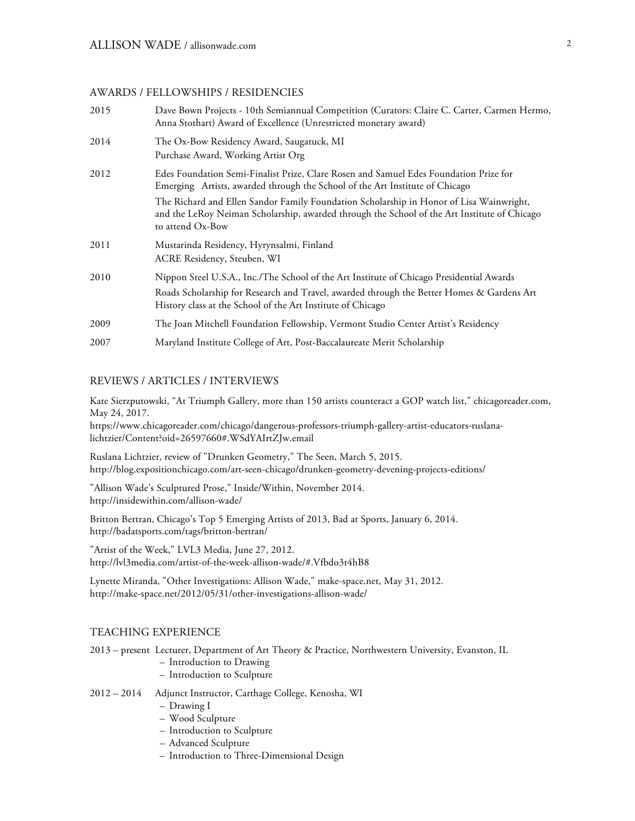### AWARDS / FELLOWSHIPS / RESIDENCIES

| Dave Bown Projects - 10th Semiannual Competition (Curators: Claire C. Carter, Carmen Hermo,<br>Anna Stothart) Award of Excellence (Unrestricted monetary award)                                                                                      |
|------------------------------------------------------------------------------------------------------------------------------------------------------------------------------------------------------------------------------------------------------|
| The Ox-Bow Residency Award, Saugatuck, MI<br>Purchase Award, Working Artist Org                                                                                                                                                                      |
| Edes Foundation Semi-Finalist Prize, Clare Rosen and Samuel Edes Foundation Prize for<br>Emerging Artists, awarded through the School of the Art Institute of Chicago                                                                                |
| The Richard and Ellen Sandor Family Foundation Scholarship in Honor of Lisa Wainwright,<br>and the LeRoy Neiman Scholarship, awarded through the School of the Art Institute of Chicago<br>to attend Ox-Bow                                          |
| Mustarinda Residency, Hyrynsalmi, Finland<br>ACRE Residency, Steuben, WI                                                                                                                                                                             |
| Nippon Steel U.S.A., Inc./The School of the Art Institute of Chicago Presidential Awards<br>Roads Scholarship for Research and Travel, awarded through the Better Homes & Gardens Art<br>History class at the School of the Art Institute of Chicago |
| The Joan Mitchell Foundation Fellowship, Vermont Studio Center Artist's Residency                                                                                                                                                                    |
| Maryland Institute College of Art, Post-Baccalaureate Merit Scholarship                                                                                                                                                                              |
|                                                                                                                                                                                                                                                      |

#### REVIEWS / ARTICLES / INTERVIEWS

Kate Sierzputowski, "At Triumph Gallery, more than 150 artists counteract a GOP watch list," chicagoreader.com, May 24, 2017.

https://www.chicagoreader.com/chicago/dangerous-professors-triumph-gallery-artist-educators-ruslanalichtzier/Content?oid=26597660#.WSdYAIrtZJw.email

Ruslana Lichtzier, review of "Drunken Geometry," The Seen, March 5, 2015. http://blog.expositionchicago.com/art-seen-chicago/drunken-geometry-devening-projects-editions/

"Allison Wade's Sculptured Prose," Inside/Within, November 2014. http://insidewithin.com/allison-wade/

Britton Bertran, Chicago's Top 5 Emerging Artists of 2013, Bad at Sports, January 6, 2014. http://badatsports.com/tags/britton-bertran/

"Artist of the Week," LVL3 Media, June 27, 2012. http://lvl3media.com/artist-of-the-week-allison-wade/#.Vfbdo3t4hB8

Lynette Miranda, "Other Investigations: Allison Wade," make-space.net, May 31, 2012. http://make-space.net/2012/05/31/other-investigations-allison-wade/

### TEACHING EXPERIENCE

2013 – present Lecturer, Department of Art Theory & Practice, Northwestern University, Evanston, IL

- Introduction to Drawing
- Introduction to Sculpture

2012 – 2014 Adjunct Instructor, Carthage College, Kenosha, WI

- Drawing I
- Wood Sculpture
- Introduction to Sculpture
- Advanced Sculpture
- Introduction to Three-Dimensional Design